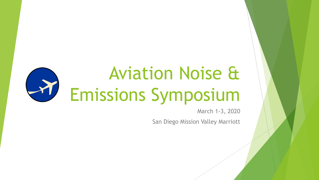#### Aviation Noise &  $\rightarrow$ Emissions Symposium

March 1-3, 2020

San Diego Mission Valley Marriott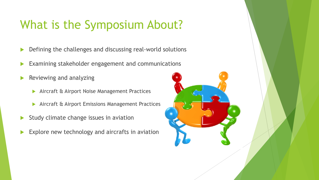#### What is the Symposium About?

- Defining the challenges and discussing real-world solutions
- Examining stakeholder engagement and communications
- Reviewing and analyzing
	- **Aircraft & Airport Noise Management Practices**
	- Aircraft & Airport Emissions Management Practices
- Study climate change issues in aviation
- Explore new technology and aircrafts in aviation

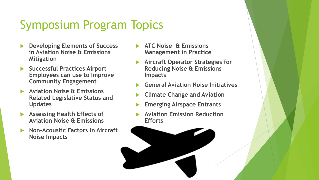## Symposium Program Topics

- **Developing Elements of Success in Aviation Noise & Emissions Mitigation**
- **Successful Practices Airport Employees can use to Improve Community Engagement**
- **Aviation Noise & Emissions Related Legislative Status and Updates**
- **Assessing Health Effects of Aviation Noise & Emissions**
- **Non-Acoustic Factors in Aircraft Noise Impacts**
- **ATC Noise & Emissions Management in Practice**
- **Aircraft Operator Strategies for Reducing Noise & Emissions Impacts**
- **General Aviation Noise Initiatives**
- **Climate Change and Aviation**
- **Emerging Airspace Entrants**
- **Aviation Emission Reduction Efforts**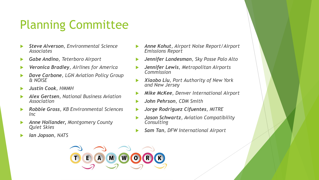## Planning Committee

- *Steve Alverson, Environmental Science Associates*
- *Gabe Andino, Teterboro Airport*
- *Veronica Bradley, Airlines for America*
- *Dave Carbone, LGN Aviation Policy Group & NOISE*
- *Justin Cook, HMMH*
- *Alex Gertsen, National Business Aviation Association*
- *Robbie Gross, KB Environmental Sciences Inc*
- *Anne Hollander, Montgomery County Quiet Skies*
- *Ian Jopson, NATS*
- *Anne Kohut, Airport Noise Report/Airport Emissions Report*
- *Jennifer Landesman, Sky Posse Palo Alto*
- *Jennifer Lewis, Metropolitan Airports Commission*
- *Xiaobo Liu, Port Authority of New York and New Jersey*
- *Mike McKee, Denver International Airport*
- *John Pehrson, CDM Smith*
- *Jorge Rodriguez Cifuentes, MITRE*
- *Jason Schwartz, Aviation Compatibility Consulting*
- *Sam Tan, DFW International Airport*

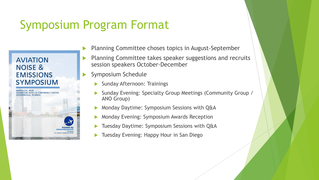### Symposium Program Format



Planning Committee choses topics in August-September

- Planning Committee takes speaker suggestions and recruits session speakers October-December
- Symposium Schedule
	- Sunday Afternoon: Trainings
	- Sunday Evening: Specialty Group Meetings (Community Group / ANO Group)
	- Monday Daytime: Symposium Sessions with Q&A
	- Monday Evening: Symposium Awards Reception
	- Tuesday Daytime: Symposium Sessions with Q&A
	- Tuesday Evening: Happy Hour in San Diego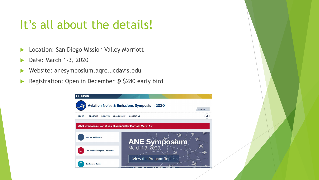#### It's all about the details!

- **Location: San Diego Mission Valley Marriott**
- Date: March 1-3, 2020
- Website: anesymposium.aqrc.ucdavis.edu
- Registration: Open in December @ \$280 early bird